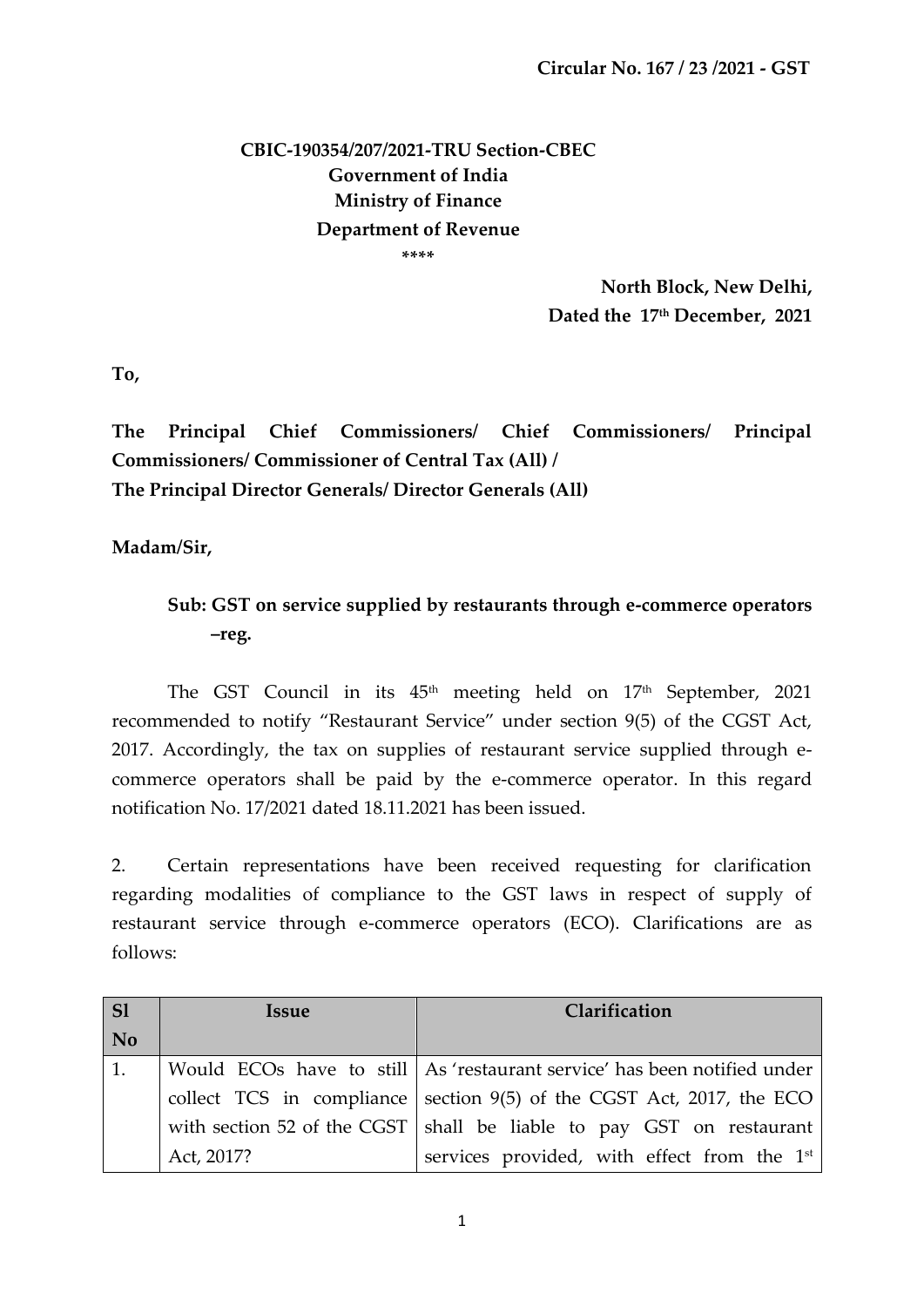## **CBIC-190354/207/2021-TRU Section-CBEC Government of India Ministry of Finance Department of Revenue \*\*\*\***

**North Block, New Delhi, Dated the 17th December, 2021**

**To,**

**The Principal Chief Commissioners/ Chief Commissioners/ Principal Commissioners/ Commissioner of Central Tax (All) / The Principal Director Generals/ Director Generals (All)**

**Madam/Sir,** 

## **Sub: GST on service supplied by restaurants through e-commerce operators –reg.**

The GST Council in its  $45<sup>th</sup>$  meeting held on  $17<sup>th</sup>$  September, 2021 recommended to notify 'Restaurant Service' under section 9(5) of the CGST Act, 2017. Accordingly, the tax on supplies of restaurant service supplied through ecommerce operators shall be paid by the e-commerce operator. In this regard notification No. 17/2021 dated 18.11.2021 has been issued.

2. Certain representations have been received requesting for clarification regarding modalities of compliance to the GST laws in respect of supply of restaurant service through e-commerce operators (ECO). Clarifications are as follows:

| $\overline{\text{S1}}$ | Issue      | Clarification                                                              |
|------------------------|------------|----------------------------------------------------------------------------|
| No                     |            |                                                                            |
| 1.                     |            | Would ECOs have to still   As 'restaurant service' has been notified under |
|                        |            | collect TCS in compliance section $9(5)$ of the CGST Act, 2017, the ECO    |
|                        |            | with section 52 of the CGST   shall be liable to pay GST on restaurant     |
|                        | Act, 2017? | services provided, with effect from the 1 <sup>st</sup>                    |

1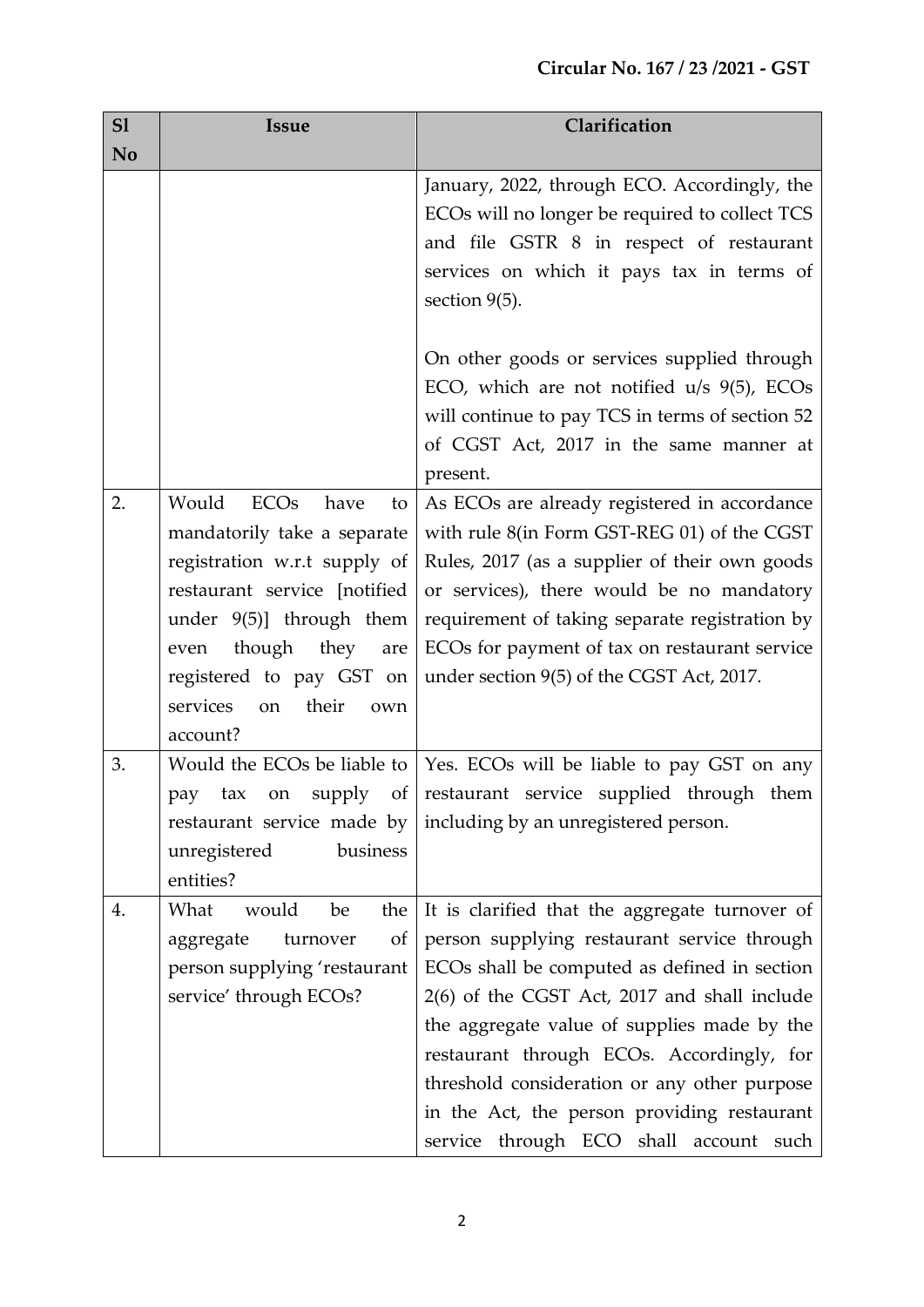| S1 | <b>Issue</b>                                  | Clarification                                   |
|----|-----------------------------------------------|-------------------------------------------------|
| No |                                               |                                                 |
|    |                                               | January, 2022, through ECO. Accordingly, the    |
|    |                                               | ECOs will no longer be required to collect TCS  |
|    |                                               | and file GSTR 8 in respect of restaurant        |
|    |                                               | services on which it pays tax in terms of       |
|    |                                               | section $9(5)$ .                                |
|    |                                               |                                                 |
|    |                                               | On other goods or services supplied through     |
|    |                                               | ECO, which are not notified $u/s$ 9(5), ECOs    |
|    |                                               | will continue to pay TCS in terms of section 52 |
|    |                                               | of CGST Act, 2017 in the same manner at         |
|    |                                               | present.                                        |
| 2. | <b>ECO<sub>s</sub></b><br>Would<br>have<br>to | As ECOs are already registered in accordance    |
|    | mandatorily take a separate                   | with rule 8(in Form GST-REG 01) of the CGST     |
|    | registration w.r.t supply of                  | Rules, 2017 (as a supplier of their own goods   |
|    | restaurant service [notified                  | or services), there would be no mandatory       |
|    | under $9(5)$ ] through them                   | requirement of taking separate registration by  |
|    | though they<br>even<br>are                    | ECOs for payment of tax on restaurant service   |
|    | registered to pay GST on                      | under section 9(5) of the CGST Act, 2017.       |
|    | services<br>their<br>on<br>own                |                                                 |
|    | account?                                      |                                                 |
| 3. | Would the ECOs be liable to                   | Yes. ECOs will be liable to pay GST on any      |
|    | supply<br>of<br>tax<br>on<br>pay              | restaurant service supplied through them        |
|    | restaurant service made by                    | including by an unregistered person.            |
|    | business<br>unregistered                      |                                                 |
|    | entities?                                     |                                                 |
| 4. | What<br>would<br>be<br>the                    | It is clarified that the aggregate turnover of  |
|    | of<br>aggregate<br>turnover                   | person supplying restaurant service through     |
|    | person supplying 'restaurant                  | ECOs shall be computed as defined in section    |
|    | service' through ECOs?                        | 2(6) of the CGST Act, 2017 and shall include    |
|    |                                               | the aggregate value of supplies made by the     |
|    |                                               | restaurant through ECOs. Accordingly, for       |
|    |                                               | threshold consideration or any other purpose    |
|    |                                               | in the Act, the person providing restaurant     |
|    |                                               | service through ECO shall account such          |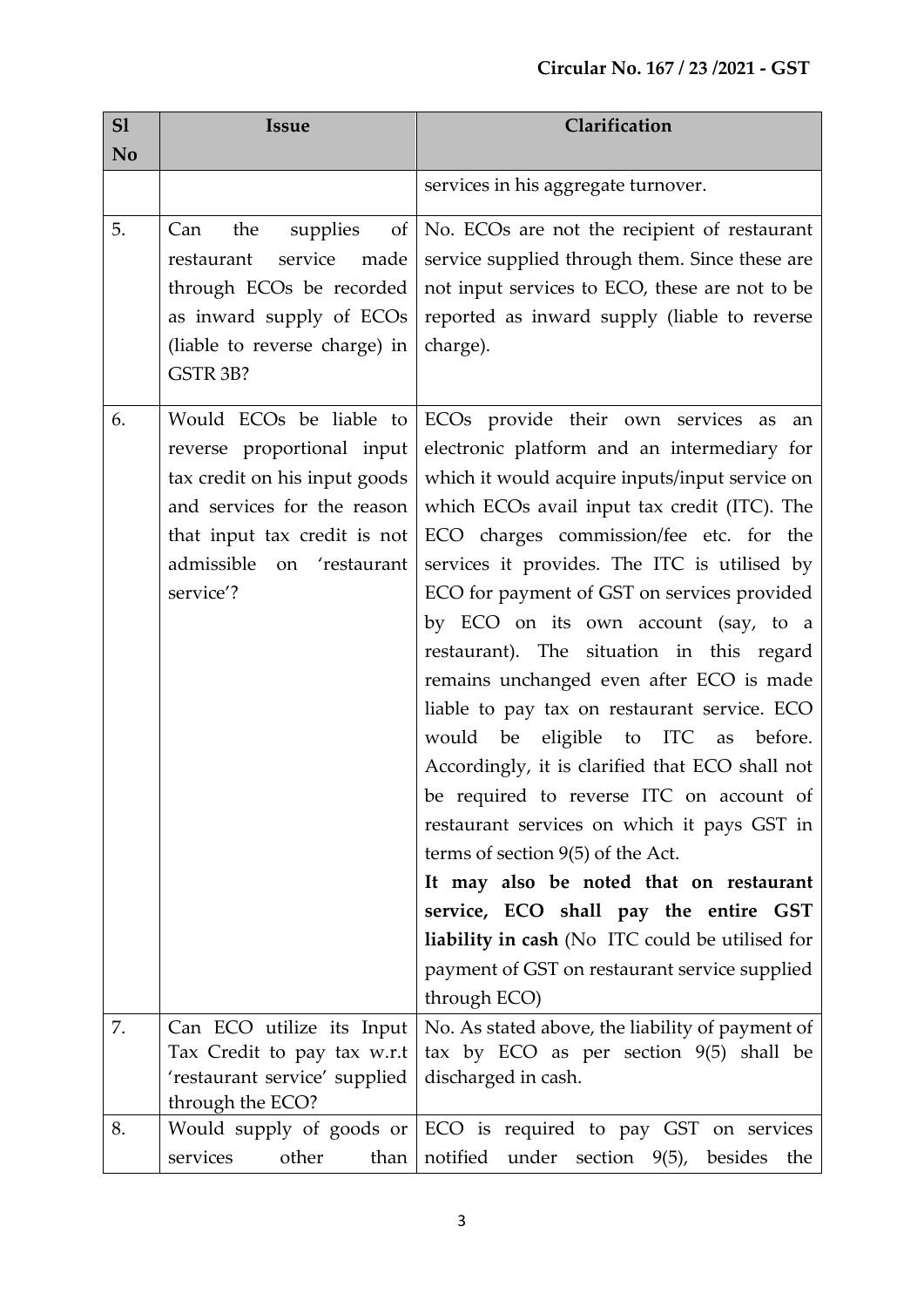| S1 | <b>Issue</b>                                                                                                                                                                                                | Clarification                                                                                                                                                                                                                                                                                                                                                                                                                                                                                                                                                                                                                                                                                                                                                                                                                                                                                                                                               |
|----|-------------------------------------------------------------------------------------------------------------------------------------------------------------------------------------------------------------|-------------------------------------------------------------------------------------------------------------------------------------------------------------------------------------------------------------------------------------------------------------------------------------------------------------------------------------------------------------------------------------------------------------------------------------------------------------------------------------------------------------------------------------------------------------------------------------------------------------------------------------------------------------------------------------------------------------------------------------------------------------------------------------------------------------------------------------------------------------------------------------------------------------------------------------------------------------|
| No |                                                                                                                                                                                                             |                                                                                                                                                                                                                                                                                                                                                                                                                                                                                                                                                                                                                                                                                                                                                                                                                                                                                                                                                             |
|    |                                                                                                                                                                                                             | services in his aggregate turnover.                                                                                                                                                                                                                                                                                                                                                                                                                                                                                                                                                                                                                                                                                                                                                                                                                                                                                                                         |
| 5. | the<br>supplies<br>Can<br>of<br>made<br>restaurant<br>service<br>through ECOs be recorded<br>as inward supply of ECOs<br>(liable to reverse charge) in<br>GSTR 3B?                                          | No. ECOs are not the recipient of restaurant<br>service supplied through them. Since these are<br>not input services to ECO, these are not to be<br>reported as inward supply (liable to reverse<br>charge).                                                                                                                                                                                                                                                                                                                                                                                                                                                                                                                                                                                                                                                                                                                                                |
| 6. | Would ECO <sub>s</sub> be liable to<br>reverse proportional input<br>tax credit on his input goods<br>and services for the reason<br>that input tax credit is not<br>admissible on 'restaurant<br>service'? | ECOs provide their own services as<br>an<br>electronic platform and an intermediary for<br>which it would acquire inputs/input service on<br>which ECOs avail input tax credit (ITC). The<br>ECO charges commission/fee etc. for the<br>services it provides. The ITC is utilised by<br>ECO for payment of GST on services provided<br>by ECO on its own account (say, to a<br>restaurant). The situation in this regard<br>remains unchanged even after ECO is made<br>liable to pay tax on restaurant service. ECO<br>would be eligible to ITC as<br>before.<br>Accordingly, it is clarified that ECO shall not<br>be required to reverse ITC on account of<br>restaurant services on which it pays GST in<br>terms of section $9(5)$ of the Act.<br>It may also be noted that on restaurant<br>service, ECO shall pay the entire GST<br>liability in cash (No ITC could be utilised for<br>payment of GST on restaurant service supplied<br>through ECO) |
| 7. | Can ECO utilize its Input<br>Tax Credit to pay tax w.r.t<br>'restaurant service' supplied                                                                                                                   | No. As stated above, the liability of payment of<br>tax by ECO as per section 9(5) shall be<br>discharged in cash.                                                                                                                                                                                                                                                                                                                                                                                                                                                                                                                                                                                                                                                                                                                                                                                                                                          |
|    | through the ECO?                                                                                                                                                                                            |                                                                                                                                                                                                                                                                                                                                                                                                                                                                                                                                                                                                                                                                                                                                                                                                                                                                                                                                                             |
| 8. | Would supply of goods or<br>services<br>other<br>than                                                                                                                                                       | ECO is required to pay GST on services<br>notified under section 9(5), besides the                                                                                                                                                                                                                                                                                                                                                                                                                                                                                                                                                                                                                                                                                                                                                                                                                                                                          |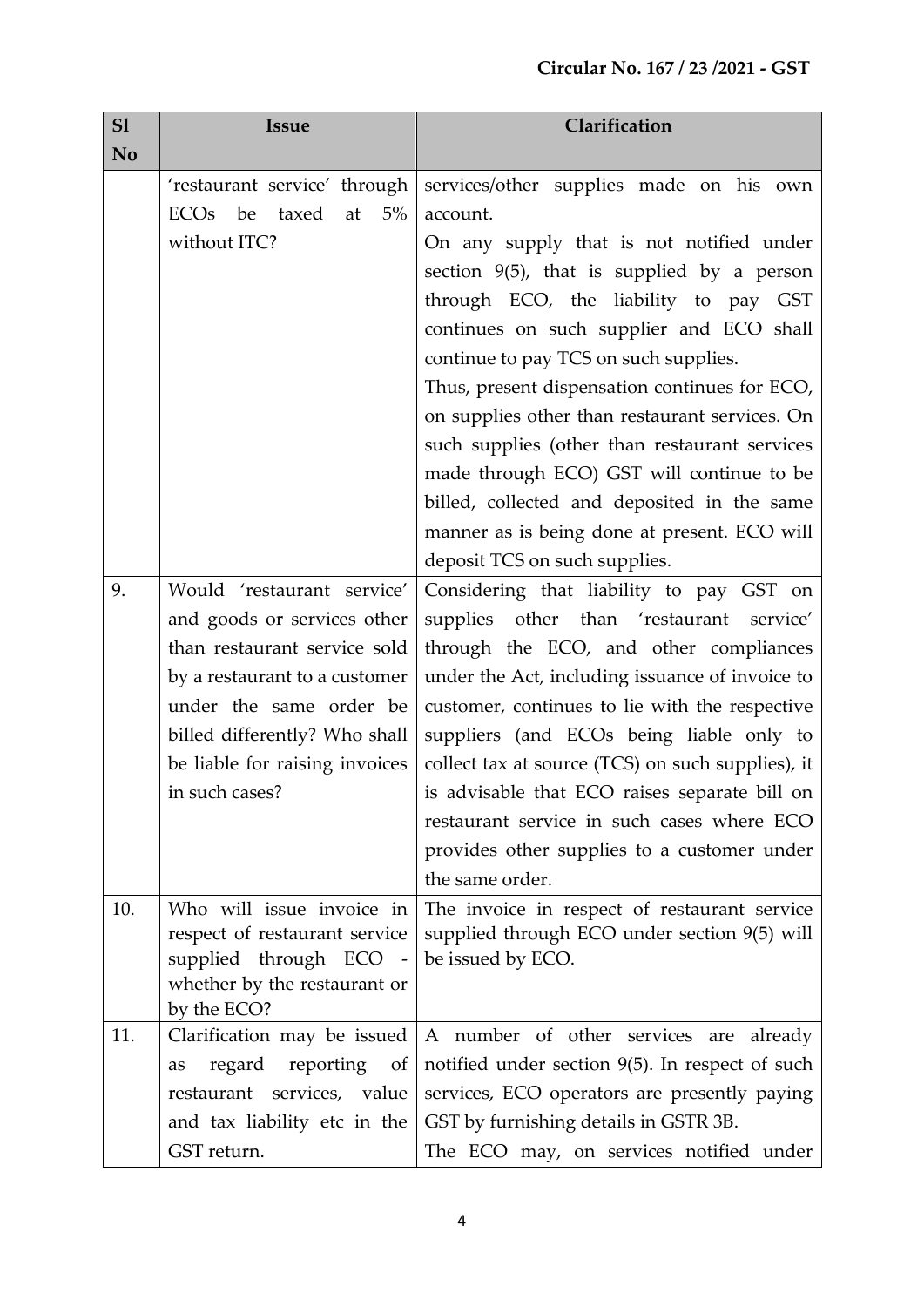| S1  | <b>Issue</b>                                           | Clarification                                      |
|-----|--------------------------------------------------------|----------------------------------------------------|
| No  |                                                        |                                                    |
|     | 'restaurant service' through                           | services/other supplies made on his own            |
|     | 5%<br><b>ECO<sub>s</sub></b><br>be<br>taxed<br>at      | account.                                           |
|     | without ITC?                                           | On any supply that is not notified under           |
|     |                                                        | section $9(5)$ , that is supplied by a person      |
|     |                                                        | through ECO, the liability to pay GST              |
|     |                                                        | continues on such supplier and ECO shall           |
|     |                                                        | continue to pay TCS on such supplies.              |
|     |                                                        | Thus, present dispensation continues for ECO,      |
|     |                                                        | on supplies other than restaurant services. On     |
|     |                                                        | such supplies (other than restaurant services      |
|     |                                                        | made through ECO) GST will continue to be          |
|     |                                                        | billed, collected and deposited in the same        |
|     |                                                        | manner as is being done at present. ECO will       |
|     |                                                        | deposit TCS on such supplies.                      |
| 9.  | Would 'restaurant service'                             | Considering that liability to pay GST on           |
|     | and goods or services other                            | supplies other than 'restaurant service'           |
|     | than restaurant service sold                           | through the ECO, and other compliances             |
|     | by a restaurant to a customer                          | under the Act, including issuance of invoice to    |
|     | under the same order be                                | customer, continues to lie with the respective     |
|     | billed differently? Who shall                          | suppliers (and ECOs being liable only to           |
|     | be liable for raising invoices                         | collect tax at source (TCS) on such supplies), it  |
|     | in such cases?                                         | is advisable that ECO raises separate bill on      |
|     |                                                        | restaurant service in such cases where ECO         |
|     |                                                        | provides other supplies to a customer under        |
|     |                                                        | the same order.                                    |
| 10. | Who will issue invoice in                              | The invoice in respect of restaurant service       |
|     | respect of restaurant service                          | supplied through ECO under section 9(5) will       |
|     | supplied through ECO -<br>whether by the restaurant or | be issued by ECO.                                  |
|     | by the ECO?                                            |                                                    |
| 11. | Clarification may be issued                            | A number of other services are already             |
|     | regard<br>reporting of<br>as                           | notified under section $9(5)$ . In respect of such |
|     | restaurant services, value                             | services, ECO operators are presently paying       |
|     | and tax liability etc in the                           | GST by furnishing details in GSTR 3B.              |
|     | GST return.                                            | The ECO may, on services notified under            |